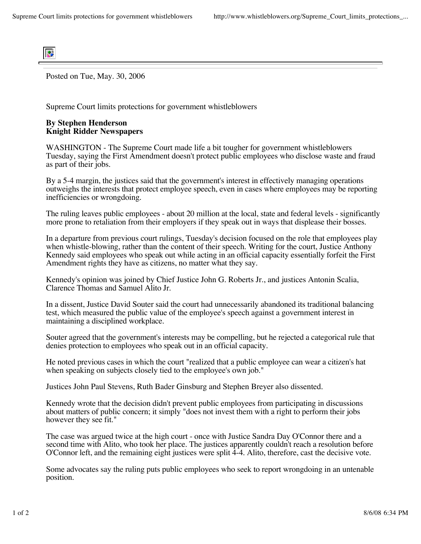

Posted on Tue, May. 30, 2006

Supreme Court limits protections for government whistleblowers

## **By Stephen Henderson Knight Ridder Newspapers**

WASHINGTON - The Supreme Court made life a bit tougher for government whistleblowers Tuesday, saying the First Amendment doesn't protect public employees who disclose waste and fraud as part of their jobs.

By a 5-4 margin, the justices said that the government's interest in effectively managing operations outweighs the interests that protect employee speech, even in cases where employees may be reporting inefficiencies or wrongdoing.

The ruling leaves public employees - about 20 million at the local, state and federal levels - significantly more prone to retaliation from their employers if they speak out in ways that displease their bosses.

In a departure from previous court rulings, Tuesday's decision focused on the role that employees play when whistle-blowing, rather than the content of their speech. Writing for the court, Justice Anthony Kennedy said employees who speak out while acting in an official capacity essentially forfeit the First Amendment rights they have as citizens, no matter what they say.

Kennedy's opinion was joined by Chief Justice John G. Roberts Jr., and justices Antonin Scalia, Clarence Thomas and Samuel Alito Jr.

In a dissent, Justice David Souter said the court had unnecessarily abandoned its traditional balancing test, which measured the public value of the employee's speech against a government interest in maintaining a disciplined workplace.

Souter agreed that the government's interests may be compelling, but he rejected a categorical rule that denies protection to employees who speak out in an official capacity.

He noted previous cases in which the court "realized that a public employee can wear a citizen's hat when speaking on subjects closely tied to the employee's own job."

Justices John Paul Stevens, Ruth Bader Ginsburg and Stephen Breyer also dissented.

Kennedy wrote that the decision didn't prevent public employees from participating in discussions about matters of public concern; it simply "does not invest them with a right to perform their jobs however they see fit."

The case was argued twice at the high court - once with Justice Sandra Day O'Connor there and a second time with Alito, who took her place. The justices apparently couldn't reach a resolution before O'Connor left, and the remaining eight justices were split 4-4. Alito, therefore, cast the decisive vote.

Some advocates say the ruling puts public employees who seek to report wrongdoing in an untenable position.